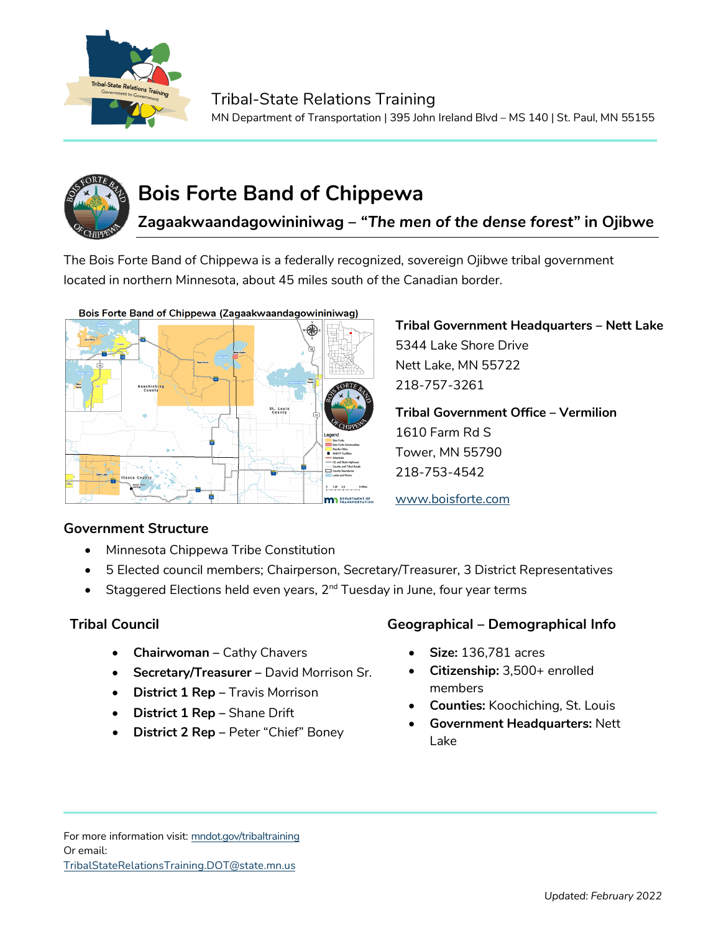

# **Bois Forte Band of Chippewa**

**Zagaakwaandagowininiwag** *– "The men of the dense forest"* **in Ojibwe**

The Bois Forte Band of Chippewa is a federally recognized, sovereign Ojibwe tribal government located in northern Minnesota, about 45 miles south of the Canadian border.



## **Government Structure**

- Minnesota Chippewa Tribe Constitution
- 5 Elected council members; Chairperson, Secretary/Treasurer, 3 District Representatives
- Staggered Elections held even years, 2<sup>nd</sup> Tuesday in June, four year terms

- **Chairwoman –** Cathy Chavers
- **Secretary/Treasurer –** David Morrison Sr.
- **District 1 Rep** Travis Morrison
- **District 1 Rep –** Shane Drift
- **District 2 Rep** Peter "Chief" Boney

## **Tribal Council Geographical – Demographical Info**

**Tribal Government Headquarters – Nett Lake**

**Tribal Government Office – Vermilion**

5344 Lake Shore Drive Nett Lake, MN 55722

218-757-3261

1610 Farm Rd S Tower, MN 55790 218-753-4542

www.boisforte.com

- **Size:** 136,781 acres
- **Citizenship:** 3,500+ enrolled members
- **Counties:** Koochiching, St. Louis
- **Government Headquarters:** Nett Lake

For more information visit: mndot.gov/tribaltraining Or email: TribalStateRelationsTraining.DOT@state.mn.us